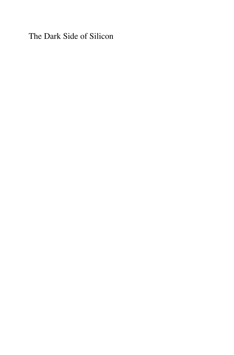The Dark Side of Silicon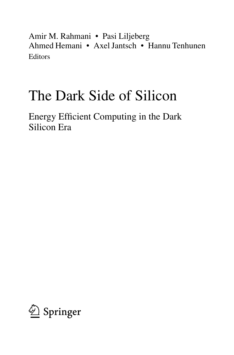Amir M. Rahmani • Pasi Liljeberg Ahmed Hemani • Axel Jantsch • Hannu Tenhunen Editors

## The Dark Side of Silicon

Energy Efficient Computing in the Dark Silicon Era

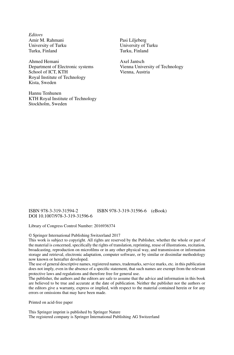*Editors* Amir M. Rahmani University of Turku Turku, Finland

Ahmed Hemani Department of Electronic systems School of ICT, KTH Royal Institute of Technology Kista, Sweden

Hannu Tenhunen KTH Royal Institute of Technology Stockholm, Sweden

Pasi Liljeberg University of Turku Turku, Finland

Axel Jantsch Vienna University of Technology Vienna, Austria

ISBN 978-3-319-31594-2 ISBN 978-3-319-31596-6 (eBook) DOI 10.1007/978-3-319-31596-6

Library of Congress Control Number: 2016936374

© Springer International Publishing Switzerland 2017

This work is subject to copyright. All rights are reserved by the Publisher, whether the whole or part of the material is concerned, specifically the rights of translation, reprinting, reuse of illustrations, recitation, broadcasting, reproduction on microfilms or in any other physical way, and transmission or information storage and retrieval, electronic adaptation, computer software, or by similar or dissimilar methodology now known or hereafter developed.

The use of general descriptive names, registered names, trademarks, service marks, etc. in this publication does not imply, even in the absence of a specific statement, that such names are exempt from the relevant protective laws and regulations and therefore free for general use.

The publisher, the authors and the editors are safe to assume that the advice and information in this book are believed to be true and accurate at the date of publication. Neither the publisher nor the authors or the editors give a warranty, express or implied, with respect to the material contained herein or for any errors or omissions that may have been made.

Printed on acid-free paper

This Springer imprint is published by Springer Nature The registered company is Springer International Publishing AG Switzerland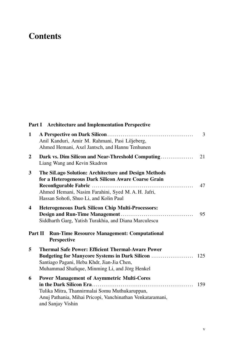## **Contents**

|                         | Part I Architecture and Implementation Perspective                                                                                                                                                        |     |
|-------------------------|-----------------------------------------------------------------------------------------------------------------------------------------------------------------------------------------------------------|-----|
| $\mathbf{1}$            | Anil Kanduri, Amir M. Rahmani, Pasi Liljeberg,<br>Ahmed Hemani, Axel Jantsch, and Hannu Tenhunen                                                                                                          | 3   |
| $\mathbf{2}$            | Dark vs. Dim Silicon and Near-Threshold Computing<br>Liang Wang and Kevin Skadron                                                                                                                         | 21  |
| 3                       | The SiLago Solution: Architecture and Design Methods<br>for a Heterogeneous Dark Silicon Aware Coarse Grain<br>Ahmed Hemani, Nasim Farahini, Syed M.A.H. Jafri,<br>Hassan Sohofi, Shuo Li, and Kolin Paul | 47  |
| $\overline{\mathbf{4}}$ | <b>Heterogeneous Dark Silicon Chip Multi-Processors:</b><br>Siddharth Garg, Yatish Turakhia, and Diana Marculescu                                                                                         | 95  |
| Part II                 | <b>Run-Time Resource Management: Computational</b><br><b>Perspective</b>                                                                                                                                  |     |
| 5                       | <b>Thermal Safe Power: Efficient Thermal-Aware Power</b><br>Santiago Pagani, Heba Khdr, Jian-Jia Chen,<br>Muhammad Shafique, Minming Li, and Jörg Henkel                                                  |     |
| 6                       | <b>Power Management of Asymmetric Multi-Cores</b><br>Tulika Mitra, Thannirmalai Somu Muthukaruppan,<br>Anuj Pathania, Mihai Pricopi, Vanchinathan Venkataramani,<br>and Sanjay Vishin                     | 159 |